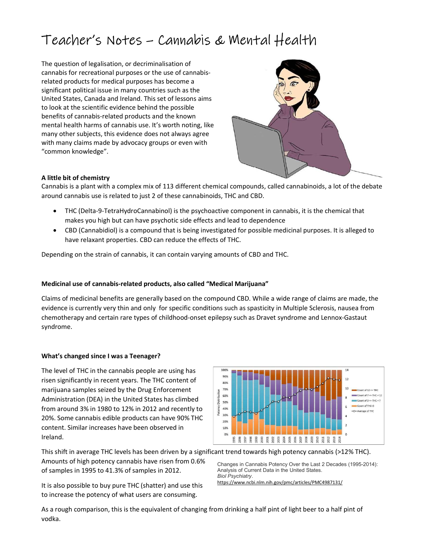# Teacher's Notes – Cannabis & Mental Health

The question of legalisation, or decriminalisation of cannabis for recreational purposes or the use of cannabisrelated products for medical purposes has become a significant political issue in many countries such as the United States, Canada and Ireland. This set of lessons aims to look at the scientific evidence behind the possible benefits of cannabis-related products and the known mental health harms of cannabis use. It's worth noting, like many other subjects, this evidence does not always agree with many claims made by advocacy groups or even with "common knowledge".



# A little bit of chemistry

Cannabis is a plant with a complex mix of 113 different chemical compounds, called cannabinoids, a lot of the debate around cannabis use is related to just 2 of these cannabinoids, THC and CBD.

- THC (Delta-9-TetraHydroCannabinol) is the psychoactive component in cannabis, it is the chemical that makes you high but can have psychotic side effects and lead to dependence
- CBD (Cannabidiol) is a compound that is being investigated for possible medicinal purposes. It is alleged to have relaxant properties. CBD can reduce the effects of THC.

Depending on the strain of cannabis, it can contain varying amounts of CBD and THC.

## Medicinal use of cannabis-related products, also called "Medical Marijuana"

Claims of medicinal benefits are generally based on the compound CBD. While a wide range of claims are made, the evidence is currently very thin and only for specific conditions such as spasticity in Multiple Sclerosis, nausea from chemotherapy and certain rare types of childhood-onset epilepsy such as Dravet syndrome and Lennox-Gastaut syndrome.

## What's changed since I was a Teenager?

The level of THC in the cannabis people are using has risen significantly in recent years. The THC content of marijuana samples seized by the Drug Enforcement Administration (DEA) in the United States has climbed from around 3% in 1980 to 12% in 2012 and recently to 20%. Some cannabis edible products can have 90% THC content. Similar increases have been observed in Ireland.



This shift in average THC levels has been driven by a significant trend towards high potency cannabis (>12% THC). Amounts of high potency cannabis have risen from 0.6% of samples in 1995 to 41.3% of samples in 2012. Analysis of Current Data in the United States.

It is also possible to buy pure THC (shatter) and use this to increase the potency of what users are consuming.

Changes in Cannabis Potency Over the Last 2 Decades (1995-2014): Biol Psychiatry.

https://www.ncbi.nlm.nih.gov/pmc/articles/PMC4987131/

As a rough comparison, this is the equivalent of changing from drinking a half pint of light beer to a half pint of vodka.